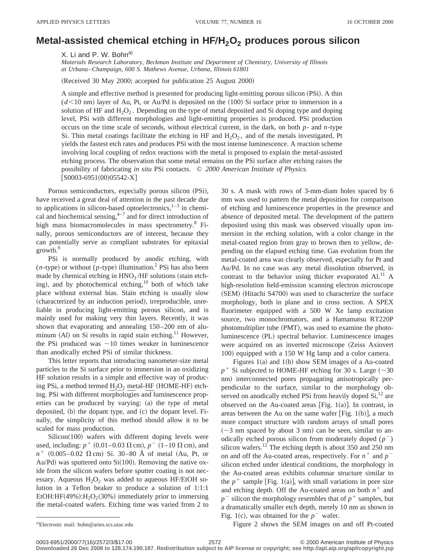## **Metal-assisted chemical etching in HF/H<sub>2</sub>O<sub>2</sub> produces porous silicon**

X. Li and P. W. Bohn<sup>a)</sup>

*Materials Research Laboratory, Beckman Institute and Department of Chemistry, University of Illinois at Urbana*–*Champaign, 600 S. Mathews Avenue, Urbana, Illinois 61801*

(Received 30 May 2000; accepted for publication 25 August 2000)

A simple and effective method is presented for producing light-emitting porous silicon (PSi). A thin  $(d<10$  nm) layer of Au, Pt, or Au/Pd is deposited on the  $(100)$  Si surface prior to immersion in a solution of HF and  $H_2O_2$ . Depending on the type of metal deposited and Si doping type and doping level, PSi with different morphologies and light-emitting properties is produced. PSi production occurs on the time scale of seconds, without electrical current, in the dark, on both *p*- and *n*-type Si. Thin metal coatings facilitate the etching in HF and  $H_2O_2$ , and of the metals investigated, Pt yields the fastest etch rates and produces PSi with the most intense luminescence. A reaction scheme involving local coupling of redox reactions with the metal is proposed to explain the metal-assisted etching process. The observation that some metal remains on the PSi surface after etching raises the possibility of fabricating *in situ* PSi contacts. © *2000 American Institute of Physics.*  $[SO003-6951(00)05542-X]$ 

Porous semiconductors, especially porous silicon (PSi), have received a great deal of attention in the past decade due to applications in silicon-based optoelectronics, $1-3$  in chemical and biochemical sensing, $4\frac{1}{4}$  and for direct introduction of high mass biomacromolecules in mass spectrometry.<sup>8</sup> Finally, porous semiconductors are of interest, because they can potentially serve as compliant substrates for epitaxial growth.<sup>9</sup>

PSi is normally produced by anodic etching, with  $(n$ -type) or without ( $p$ -type) illumination.<sup>2</sup> PSi has also been made by chemical etching in  $HNO<sub>3</sub>/HF$  solutions (stain etching), and by photochemical etching, $10$  both of which take place without external bias. Stain etching is usually slow (characterized by an induction period), irreproducible, unreliable in producing light-emitting porous silicon, and is mainly used for making very thin layers. Recently, it was shown that evaporating and annealing 150–200 nm of aluminum  $(A)$  on Si results in rapid stain etching.<sup>11</sup> However, the PSi produced was  $\sim$ 10 times weaker in luminescence than anodically etched PSi of similar thickness.

This letter reports that introducing nanometer-size metal particles to the Si surface prior to immersion in an oxidizing HF solution results in a simple and effective way of producing PSi, a method termed  $H_2O_2$  metal-HF (HOME-HF) etching. PSi with different morphologies and luminescence properties can be produced by varying: (a) the type of metal deposited,  $(b)$  the dopant type, and  $(c)$  the dopant level. Finally, the simplicity of this method should allow it to be scaled for mass production.

 $Silicon(100)$  wafers with different doping levels were used, including:  $p^{+}$  (0.01–0.03  $\Omega$  cm),  $p^{-}$  (1–10  $\Omega$  cm), and  $n^{+}$  (0.005–0.02  $\Omega$  cm) Si. 30–80 Å of metal (Au, Pt, or Au/Pd) was sputtered onto  $Si(100)$ . Removing the native oxide from the silicon wafers before sputter coating is not necessary. Aqueous  $H_2O_2$  was added to aqueous HF/EtOH solution in a Teflon beaker to produce a solution of 1:1:1 EtOH:HF $(49\%)$ :H<sub>2</sub>O<sub>2</sub> $(30\%)$  immediately prior to immersing the metal-coated wafers. Etching time was varied from 2 to

30 s. A mask with rows of 3-mm-diam holes spaced by 6 mm was used to pattern the metal deposition for comparison of etching and luminescence properties in the presence and absence of deposited metal. The development of the pattern deposited using this mask was observed visually upon immersion in the etching solution, with a color change in the metal-coated region from gray to brown then to yellow, depending on the elapsed etching time. Gas evolution from the metal-coated area was clearly observed, especially for Pt and Au/Pd. In no case was any metal dissolution observed, in contrast to the behavior using thicker evaporated Al.<sup>11</sup> A high-resolution field-emission scanning electron microscope (SEM) (Hitachi S4700) was used to characterize the surface morphology, both in plane and in cross section. A SPEX fluorimeter equipped with a 500 W Xe lamp excitation source, two monochromators, and a Hamamatsu RT220P photomultiplier tube (PMT), was used to examine the photoluminescence (PL) spectral behavior. Luminescence images were acquired on an inverted microscope (Zeiss Axiovert 100) equipped with a 150 W Hg lamp and a color camera.

Figures  $1(a)$  and  $1(b)$  show SEM images of a Au-coated  $p^+$  Si subjected to HOME-HF etching for 30 s. Large ( $\sim$ 30) nm) interconnected pores propagating anisotropically perpendicular to the surface, similar to the morphology observed on anodically etched PSi from heavily doped  $Si<sub>1</sub><sup>12</sup>$  are observed on the Au-coated areas [Fig. 1(a)]. In contrast, in areas between the Au on the same wafer [Fig. 1(b)], a much more compact structure with random arrays of small pores  $(\sim$ 3 nm spaced by about 3 nm) can be seen, similar to anodically etched porous silicon from moderately doped  $(p^{-})$ silicon wafers.<sup>12</sup> The etching depth is about 350 and 250 nm on and off the Au-coated areas, respectively. For  $n^+$  and  $p^$ silicon etched under identical conditions, the morphology in the Au-coated areas exhibits columnar structure similar to the  $p^+$  sample [Fig. 1(a)], with small variations in pore size and etching depth. Off the Au-coated areas on both  $n^+$  and  $p$ <sup>-</sup> silicon the morphology resembles that of  $p$ <sup>+</sup> samples, but a dramatically smaller etch depth, merely 10 nm as shown in Fig. 1(c), was obtained for the  $p^-$  wafer.

Figure 2 shows the SEM images on and off Pt-coated

Electronic mail: bohn@aries.scs.uiuc.edu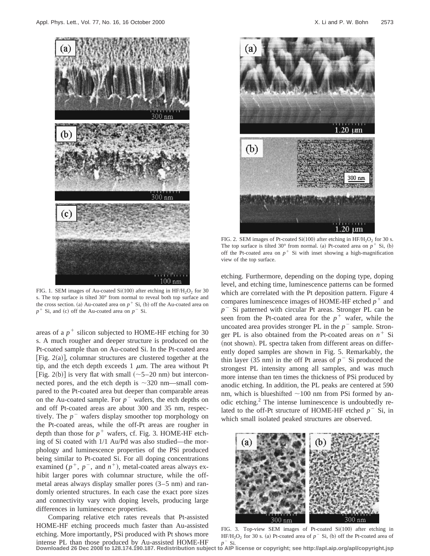

FIG. 1. SEM images of Au-coated Si $(100)$  after etching in HF/H<sub>2</sub>O<sub>2</sub> for 30 s. The top surface is tilted 30° from normal to reveal both top surface and the cross section. (a) Au-coated area on  $p^+$  Si, (b) off the Au-coated area on  $p^+$  Si, and (c) off the Au-coated area on  $p^-$  Si.

areas of a  $p^+$  silicon subjected to HOME-HF etching for 30 s. A much rougher and deeper structure is produced on the Pt-coated sample than on Au-coated Si. In the Pt-coated area [Fig.  $2(a)$ ], columnar structures are clustered together at the tip, and the etch depth exceeds  $1 \mu m$ . The area without Pt [Fig. 2(b)] is very flat with small  $(\sim 5-20 \text{ nm})$  but interconnected pores, and the etch depth is  $\sim$ 320 nm—small compared to the Pt-coated area but deeper than comparable areas on the Au-coated sample. For  $p^{-}$  wafers, the etch depths on and off Pt-coated areas are about 300 and 35 nm, respectively. The  $p^{-}$  wafers display smoother top morphology on the Pt-coated areas, while the off-Pt areas are rougher in depth than those for  $p^+$  wafers, cf. Fig. 3. HOME-HF etching of Si coated with 1/1 Au/Pd was also studied—the morphology and luminescence properties of the PSi produced being similar to Pt-coated Si. For all doping concentrations examined  $(p^+, p^-, \text{ and } n^+)$ , metal-coated areas always exhibit larger pores with columnar structure, while the offmetal areas always display smaller pores  $(3–5 \text{ nm})$  and randomly oriented structures. In each case the exact pore sizes and connectivity vary with doping levels, producing large differences in luminescence properties.

Comparing relative etch rates reveals that Pt-assisted HOME-HF etching proceeds much faster than Au-assisted etching. More importantly, PSi produced with Pt shows more intense PL than those produced by Au-assisted HOME-HF



FIG. 2. SEM images of Pt-coated Si $(100)$  after etching in HF/H<sub>2</sub>O<sub>2</sub> for 30 s. The top surface is tilted  $30^{\circ}$  from normal. (a) Pt-coated area on  $p^+$  Si, (b) off the Pt-coated area on  $p^+$  Si with inset showing a high-magnification view of the top surface.

etching. Furthermore, depending on the doping type, doping level, and etching time, luminescence patterns can be formed which are correlated with the Pt deposition pattern. Figure 4 compares luminescence images of HOME-HF etched  $p^+$  and  $p$ <sup>-</sup> Si patterned with circular Pt areas. Stronger PL can be seen from the Pt-coated area for the  $p^+$  wafer, while the uncoated area provides stronger PL in the  $p^-$  sample. Stronger PL is also obtained from the Pt-coated areas on  $n^+$  Si (not shown). PL spectra taken from different areas on differently doped samples are shown in Fig. 5. Remarkably, the thin layer (35 nm) in the off Pt areas of  $p<sup>-</sup>$  Si produced the strongest PL intensity among all samples, and was much more intense than ten times the thickness of PSi produced by anodic etching. In addition, the PL peaks are centered at 590 nm, which is blueshifted  $\sim$ 100 nm from PSi formed by anodic etching.2 The intense luminescence is undoubtedly related to the off-Pt structure of HOME-HF etched  $p^-$  Si, in which small isolated peaked structures are observed.



FIG. 3. Top-view SEM images of Pt-coated  $Si(100)$  after etching in HF/H<sub>2</sub>O<sub>2</sub> for 30 s. (a) Pt-coated area of  $p^-$  Si, (b) off the Pt-coated area of

intense PL than those produced by Au-assisted HOME-HF p<sup>-</sup> Si.<br>Downloaded 26 Dec 2008 to 128.174.190.187. Redistribution subject to AIP license or copyright; see http://apl.aip.org/apl/copyright.jsp